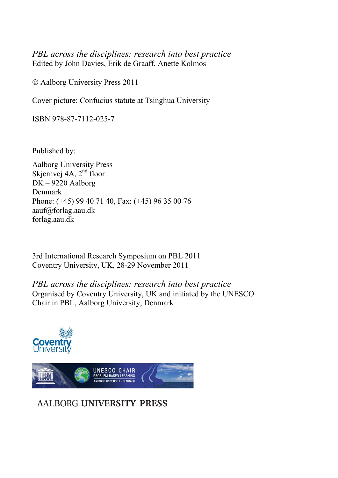*PBL across the disciplines: research into best practice*  Edited by John Davies, Erik de Graaff, Anette Kolmos

Aalborg University Press 2011

Cover picture: Confucius statute at Tsinghua University

ISBN 978-87-7112-025-7

Published by:

Aalborg University Press Skjernvej 4A, 2<sup>nd</sup> floor DK – 9220 Aalborg Denmark Phone: (+45) 99 40 71 40, Fax: (+45) 96 35 00 76 aauf@forlag.aau.dk forlag.aau.dk

3rd International Research Symposium on PBL 2011 Coventry University, UK, 28-29 November 2011

*PBL across the disciplines: research into best practice*  Organised by Coventry University, UK and initiated by the UNESCO Chair in PBL, Aalborg University, Denmark



# **AALBORG UNIVERSITY PRESS**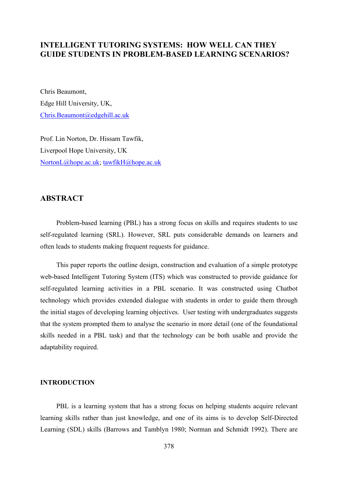# **INTELLIGENT TUTORING SYSTEMS: HOW WELL CAN THEY GUIDE STUDENTS IN PROBLEM-BASED LEARNING SCENARIOS?**

Chris Beaumont, Edge Hill University, UK, Chris.Beaumont@edgehill.ac.uk

Prof. Lin Norton, Dr. Hissam Tawfik, Liverpool Hope University, UK NortonL@hope.ac.uk; tawfikH@hope.ac.uk

# **ABSTRACT**

Problem-based learning (PBL) has a strong focus on skills and requires students to use self-regulated learning (SRL). However, SRL puts considerable demands on learners and often leads to students making frequent requests for guidance.

This paper reports the outline design, construction and evaluation of a simple prototype web-based Intelligent Tutoring System (ITS) which was constructed to provide guidance for self-regulated learning activities in a PBL scenario. It was constructed using Chatbot technology which provides extended dialogue with students in order to guide them through the initial stages of developing learning objectives. User testing with undergraduates suggests that the system prompted them to analyse the scenario in more detail (one of the foundational skills needed in a PBL task) and that the technology can be both usable and provide the adaptability required.

## **INTRODUCTION**

PBL is a learning system that has a strong focus on helping students acquire relevant learning skills rather than just knowledge, and one of its aims is to develop Self-Directed Learning (SDL) skills (Barrows and Tamblyn 1980; Norman and Schmidt 1992). There are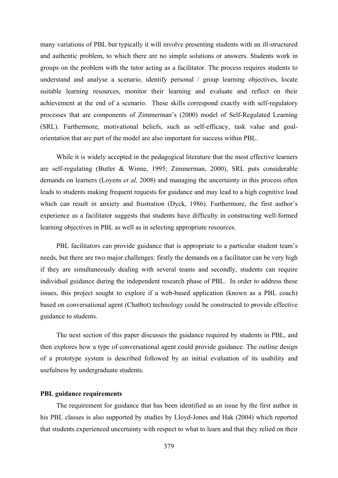many variations of PBL but typically it will involve presenting students with an ill-structured and authentic problem, to which there are no simple solutions or answers. Students work in groups on the problem with the tutor acting as a facilitator. The process requires students to understand and analyse a scenario, identify personal / group learning objectives, locate suitable learning resources, monitor their learning and evaluate and reflect on their achievement at the end of a scenario. These skills correspond exactly with self-regulatory processes that are components of Zimmerman's (2000) model of Self-Regulated Learning (SRL). Furthermore, motivational beliefs, such as self-efficacy, task value and goalorientation that are part of the model are also important for success within PBL.

While it is widely accepted in the pedagogical literature that the most effective learners are self-regulating (Butler & Winne, 1995; Zimmerman, 2000), SRL puts considerable demands on learners (Loyens *et al,* 2008) and managing the uncertainty in this process often leads to students making frequent requests for guidance and may lead to a high cognitive load which can result in anxiety and frustration (Dyck, 1986). Furthermore, the first author's experience as a facilitator suggests that students have difficulty in constructing well-formed learning objectives in PBL as well as in selecting appropriate resources.

PBL facilitators can provide guidance that is appropriate to a particular student team's needs, but there are two major challenges: firstly the demands on a facilitator can be very high if they are simultaneously dealing with several teams and secondly, students can require individual guidance during the independent research phase of PBL. In order to address these issues, this project sought to explore if a web-based application (known as a PBL coach) based on conversational agent (Chatbot) technology could be constructed to provide effective guidance to students.

The next section of this paper discusses the guidance required by students in PBL, and then explores how a type of conversational agent could provide guidance. The outline design of a prototype system is described followed by an initial evaluation of its usability and usefulness by undergraduate students.

#### **PBL guidance requirements**

The requirement for guidance that has been identified as an issue by the first author in his PBL classes is also supported by studies by Lloyd-Jones and Hak (2004) which reported that students experienced uncertainty with respect to what to learn and that they relied on their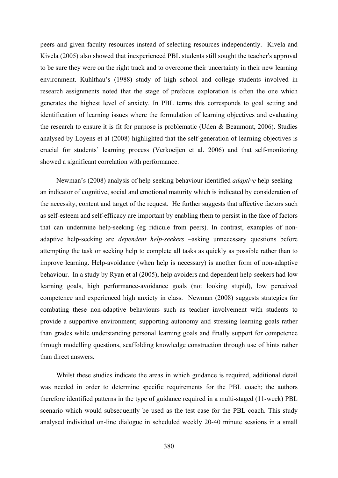peers and given faculty resources instead of selecting resources independently. Kivela and Kivela (2005) also showed that inexperienced PBL students still sought the teacher's approval to be sure they were on the right track and to overcome their uncertainty in their new learning environment. Kuhlthau's (1988) study of high school and college students involved in research assignments noted that the stage of prefocus exploration is often the one which generates the highest level of anxiety. In PBL terms this corresponds to goal setting and identification of learning issues where the formulation of learning objectives and evaluating the research to ensure it is fit for purpose is problematic (Uden & Beaumont, 2006). Studies analysed by Loyens et al (2008) highlighted that the self-generation of learning objectives is crucial for students' learning process (Verkoeijen et al. 2006) and that self-monitoring showed a significant correlation with performance.

Newman's (2008) analysis of help-seeking behaviour identified *adaptive* help-seeking – an indicator of cognitive, social and emotional maturity which is indicated by consideration of the necessity, content and target of the request. He further suggests that affective factors such as self-esteem and self-efficacy are important by enabling them to persist in the face of factors that can undermine help-seeking (eg ridicule from peers). In contrast, examples of nonadaptive help-seeking are *dependent help-seekers* –asking unnecessary questions before attempting the task or seeking help to complete all tasks as quickly as possible rather than to improve learning. Help-avoidance (when help is necessary) is another form of non-adaptive behaviour. In a study by Ryan et al (2005), help avoiders and dependent help-seekers had low learning goals, high performance-avoidance goals (not looking stupid), low perceived competence and experienced high anxiety in class. Newman (2008) suggests strategies for combating these non-adaptive behaviours such as teacher involvement with students to provide a supportive environment; supporting autonomy and stressing learning goals rather than grades while understanding personal learning goals and finally support for competence through modelling questions, scaffolding knowledge construction through use of hints rather than direct answers.

Whilst these studies indicate the areas in which guidance is required, additional detail was needed in order to determine specific requirements for the PBL coach; the authors therefore identified patterns in the type of guidance required in a multi-staged (11-week) PBL scenario which would subsequently be used as the test case for the PBL coach. This study analysed individual on-line dialogue in scheduled weekly 20-40 minute sessions in a small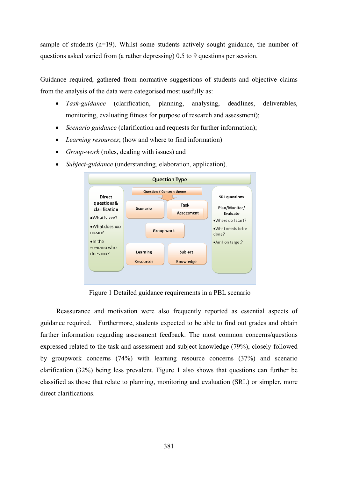sample of students (n=19). Whilst some students actively sought guidance, the number of questions asked varied from (a rather depressing) 0.5 to 9 questions per session.

Guidance required, gathered from normative suggestions of students and objective claims from the analysis of the data were categorised most usefully as:

- x *Task-guidance* (clarification, planning, analysing, deadlines, deliverables, monitoring, evaluating fitness for purpose of research and assessment);
- *Scenario guidance* (clarification and requests for further information);
- Learning resources; (how and where to find information)
- *Group-work* (roles, dealing with issues) and
- *Subject-guidance* (understanding, elaboration, application).



Figure 1 Detailed guidance requirements in a PBL scenario

Reassurance and motivation were also frequently reported as essential aspects of guidance required. Furthermore, students expected to be able to find out grades and obtain further information regarding assessment feedback. The most common concerns/questions expressed related to the task and assessment and subject knowledge (79%), closely followed by groupwork concerns (74%) with learning resource concerns (37%) and scenario clarification (32%) being less prevalent. Figure 1 also shows that questions can further be classified as those that relate to planning, monitoring and evaluation (SRL) or simpler, more direct clarifications.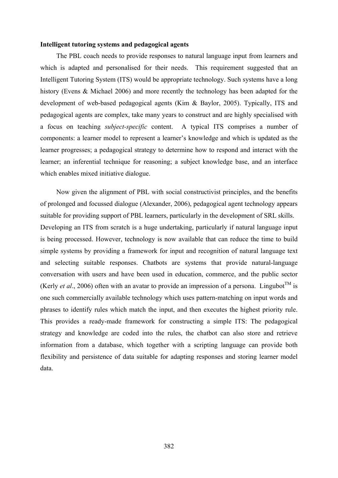#### **Intelligent tutoring systems and pedagogical agents**

The PBL coach needs to provide responses to natural language input from learners and which is adapted and personalised for their needs. This requirement suggested that an Intelligent Tutoring System (ITS) would be appropriate technology. Such systems have a long history (Evens & Michael 2006) and more recently the technology has been adapted for the development of web-based pedagogical agents (Kim & Baylor, 2005). Typically, ITS and pedagogical agents are complex, take many years to construct and are highly specialised with a focus on teaching *subject-specific* content. A typical ITS comprises a number of components: a learner model to represent a learner's knowledge and which is updated as the learner progresses; a pedagogical strategy to determine how to respond and interact with the learner; an inferential technique for reasoning; a subject knowledge base, and an interface which enables mixed initiative dialogue.

Now given the alignment of PBL with social constructivist principles, and the benefits of prolonged and focussed dialogue (Alexander, 2006), pedagogical agent technology appears suitable for providing support of PBL learners, particularly in the development of SRL skills. Developing an ITS from scratch is a huge undertaking, particularly if natural language input is being processed. However, technology is now available that can reduce the time to build simple systems by providing a framework for input and recognition of natural language text and selecting suitable responses. Chatbots are systems that provide natural-language conversation with users and have been used in education, commerce, and the public sector (Kerly *et al.*, 2006) often with an avatar to provide an impression of a persona. Lingubot<sup>TM</sup> is one such commercially available technology which uses pattern-matching on input words and phrases to identify rules which match the input, and then executes the highest priority rule. This provides a ready-made framework for constructing a simple ITS: The pedagogical strategy and knowledge are coded into the rules, the chatbot can also store and retrieve information from a database, which together with a scripting language can provide both flexibility and persistence of data suitable for adapting responses and storing learner model data.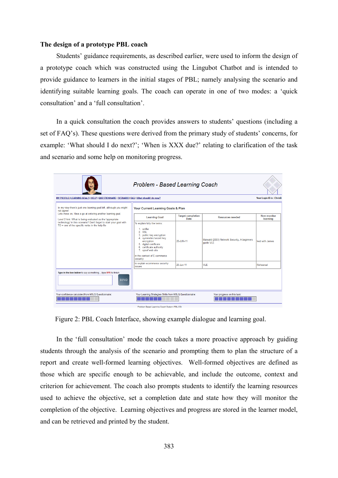#### **The design of a prototype PBL coach**

Students' guidance requirements, as described earlier, were used to inform the design of a prototype coach which was constructed using the Lingubot Chatbot and is intended to provide guidance to learners in the initial stages of PBL; namely analysing the scenario and identifying suitable learning goals. The coach can operate in one of two modes: a 'quick consultation' and a 'full consultation'.

In a quick consultation the coach provides answers to students' questions (including a set of FAQ's). These questions were derived from the primary study of students' concerns, for example: 'What should I do next?'; 'When is XXX due?' relating to clarification of the task and scenario and some help on monitoring progress.

| Problem - Based Learning Coach                                                                                                                                                                                                                    |                                                                                                                                                                                                                                                  |                                  |                                                           |                                |
|---------------------------------------------------------------------------------------------------------------------------------------------------------------------------------------------------------------------------------------------------|--------------------------------------------------------------------------------------------------------------------------------------------------------------------------------------------------------------------------------------------------|----------------------------------|-----------------------------------------------------------|--------------------------------|
| MY PROFILE   LEARNING GOALS   HELP   QUESTIONNAIRE   SCENARIO   FAQ   What should I do now?                                                                                                                                                       |                                                                                                                                                                                                                                                  |                                  |                                                           | Your Login ID is: ChrisB       |
| In my view there's just one learning goal left, although you might<br>not agree!                                                                                                                                                                  | Your Current Learning Goals & Plan                                                                                                                                                                                                               |                                  |                                                           |                                |
| Lets move on, Have a go at entering another learning goal.<br>Level 2 hint: What is being evaluated as the 'appropriate'<br>technology' in this scenario? Don't forget to start your goal with<br>TO + one of the specific verbs in the help file | <b>Learning Goal</b>                                                                                                                                                                                                                             | <b>Target completion</b><br>Date | <b>Resources needed</b>                                   | <b>How monitor</b><br>learning |
|                                                                                                                                                                                                                                                   | To explain fully the terms:<br>1. sniffer<br>2. SSL<br>3. public key encryption<br>4. symmetric/secret key<br>encryption<br>5. digital certificate<br>6. certificate authority<br>7. spoof web site<br>in the context of E-commerce<br>security. | 20-JUN-11                        | Maiwald (2003) Network Security, A beginners<br>quide VLE | annal, dtiw test               |
|                                                                                                                                                                                                                                                   | to explain ecommerce security<br><i>issues</i>                                                                                                                                                                                                   | 25-Jun-11                        | <b>VLE</b>                                                | Rehearsal                      |
| Type in the box below to say somethingtype BYE to finish<br><b>SEND</b>                                                                                                                                                                           |                                                                                                                                                                                                                                                  |                                  |                                                           |                                |
| Your confidence calculated from MSLQ Questionnaire:                                                                                                                                                                                               | Your Learning Strategies Skills from MSLQ Questionnaire:                                                                                                                                                                                         |                                  | Your progress on this task:                               |                                |

Figure 2: PBL Coach Interface, showing example dialogue and learning goal.

In the 'full consultation' mode the coach takes a more proactive approach by guiding students through the analysis of the scenario and prompting them to plan the structure of a report and create well-formed learning objectives. Well-formed objectives are defined as those which are specific enough to be achievable, and include the outcome, context and criterion for achievement. The coach also prompts students to identify the learning resources used to achieve the objective, set a completion date and state how they will monitor the completion of the objective. Learning objectives and progress are stored in the learner model, and can be retrieved and printed by the student.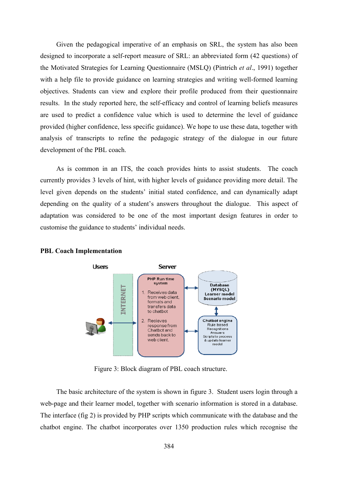Given the pedagogical imperative of an emphasis on SRL, the system has also been designed to incorporate a self-report measure of SRL: an abbreviated form (42 questions) of the Motivated Strategies for Learning Questionnaire (MSLQ) (Pintrich *et al*., 1991) together with a help file to provide guidance on learning strategies and writing well-formed learning objectives. Students can view and explore their profile produced from their questionnaire results. In the study reported here, the self-efficacy and control of learning beliefs measures are used to predict a confidence value which is used to determine the level of guidance provided (higher confidence, less specific guidance). We hope to use these data, together with analysis of transcripts to refine the pedagogic strategy of the dialogue in our future development of the PBL coach.

As is common in an ITS, the coach provides hints to assist students. The coach currently provides 3 levels of hint, with higher levels of guidance providing more detail. The level given depends on the students' initial stated confidence, and can dynamically adapt depending on the quality of a student's answers throughout the dialogue. This aspect of adaptation was considered to be one of the most important design features in order to customise the guidance to students' individual needs.



#### **PBL Coach Implementation**

Figure 3: Block diagram of PBL coach structure.

The basic architecture of the system is shown in figure 3. Student users login through a web-page and their learner model, together with scenario information is stored in a database. The interface (fig 2) is provided by PHP scripts which communicate with the database and the chatbot engine. The chatbot incorporates over 1350 production rules which recognise the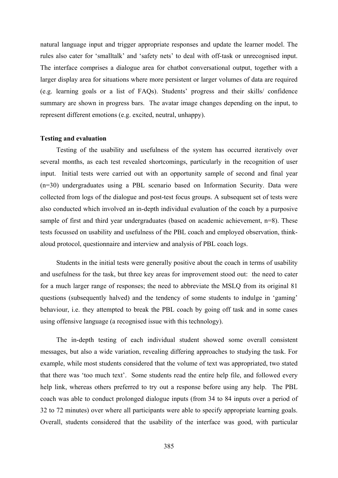natural language input and trigger appropriate responses and update the learner model. The rules also cater for 'smalltalk' and 'safety nets' to deal with off-task or unrecognised input. The interface comprises a dialogue area for chatbot conversational output, together with a larger display area for situations where more persistent or larger volumes of data are required (e.g. learning goals or a list of FAQs). Students' progress and their skills/ confidence summary are shown in progress bars. The avatar image changes depending on the input, to represent different emotions (e.g. excited, neutral, unhappy).

#### **Testing and evaluation**

Testing of the usability and usefulness of the system has occurred iteratively over several months, as each test revealed shortcomings, particularly in the recognition of user input. Initial tests were carried out with an opportunity sample of second and final year (n=30) undergraduates using a PBL scenario based on Information Security. Data were collected from logs of the dialogue and post-test focus groups. A subsequent set of tests were also conducted which involved an in-depth individual evaluation of the coach by a purposive sample of first and third year undergraduates (based on academic achievement, n=8). These tests focussed on usability and usefulness of the PBL coach and employed observation, thinkaloud protocol, questionnaire and interview and analysis of PBL coach logs.

Students in the initial tests were generally positive about the coach in terms of usability and usefulness for the task, but three key areas for improvement stood out: the need to cater for a much larger range of responses; the need to abbreviate the MSLQ from its original 81 questions (subsequently halved) and the tendency of some students to indulge in 'gaming' behaviour, i.e. they attempted to break the PBL coach by going off task and in some cases using offensive language (a recognised issue with this technology).

The in-depth testing of each individual student showed some overall consistent messages, but also a wide variation, revealing differing approaches to studying the task. For example, while most students considered that the volume of text was appropriated, two stated that there was 'too much text'. Some students read the entire help file, and followed every help link, whereas others preferred to try out a response before using any help. The PBL coach was able to conduct prolonged dialogue inputs (from 34 to 84 inputs over a period of 32 to 72 minutes) over where all participants were able to specify appropriate learning goals. Overall, students considered that the usability of the interface was good, with particular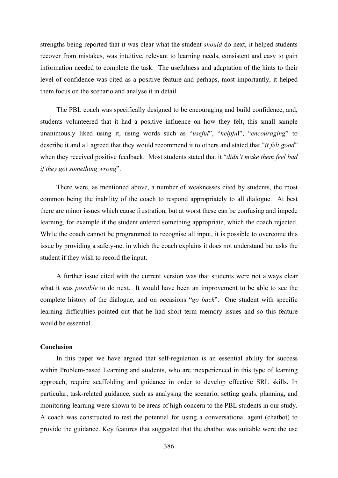strengths being reported that it was clear what the student *should* do next, it helped students recover from mistakes, was intuitive, relevant to learning needs, consistent and easy to gain information needed to complete the task. The usefulness and adaptation of the hints to their level of confidence was cited as a positive feature and perhaps, most importantly, it helped them focus on the scenario and analyse it in detail.

The PBL coach was specifically designed to be encouraging and build confidence, and, students volunteered that it had a positive influence on how they felt, this small sample unanimously liked using it, using words such as "*useful*", "*helpfu*l", "*encouraging*" to describe it and all agreed that they would recommend it to others and stated that "*it felt good*" when they received positive feedback. Most students stated that it "*didn't make them feel bad if they got something wrong*".

There were, as mentioned above, a number of weaknesses cited by students, the most common being the inability of the coach to respond appropriately to all dialogue. At best there are minor issues which cause frustration, but at worst these can be confusing and impede learning, for example if the student entered something appropriate, which the coach rejected. While the coach cannot be programmed to recognise all input, it is possible to overcome this issue by providing a safety-net in which the coach explains it does not understand but asks the student if they wish to record the input.

A further issue cited with the current version was that students were not always clear what it was *possible* to do next. It would have been an improvement to be able to see the complete history of the dialogue, and on occasions "*go back*". One student with specific learning difficulties pointed out that he had short term memory issues and so this feature would be essential.

## **Conclusion**

In this paper we have argued that self-regulation is an essential ability for success within Problem-based Learning and students, who are inexperienced in this type of learning approach, require scaffolding and guidance in order to develop effective SRL skills. In particular, task-related guidance, such as analysing the scenario, setting goals, planning, and monitoring learning were shown to be areas of high concern to the PBL students in our study. A coach was constructed to test the potential for using a conversational agent (chatbot) to provide the guidance. Key features that suggested that the chatbot was suitable were the use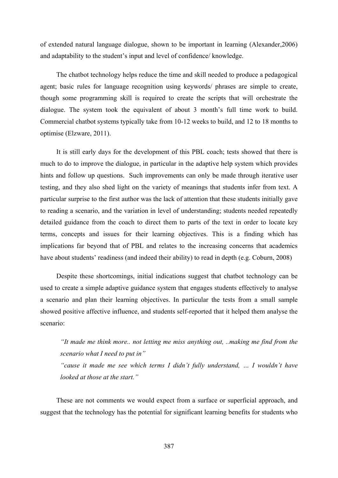of extended natural language dialogue, shown to be important in learning (Alexander,2006) and adaptability to the student's input and level of confidence/ knowledge.

The chatbot technology helps reduce the time and skill needed to produce a pedagogical agent; basic rules for language recognition using keywords/ phrases are simple to create, though some programming skill is required to create the scripts that will orchestrate the dialogue. The system took the equivalent of about 3 month's full time work to build. Commercial chatbot systems typically take from 10-12 weeks to build, and 12 to 18 months to optimise (Elzware, 2011).

It is still early days for the development of this PBL coach; tests showed that there is much to do to improve the dialogue, in particular in the adaptive help system which provides hints and follow up questions. Such improvements can only be made through iterative user testing, and they also shed light on the variety of meanings that students infer from text. A particular surprise to the first author was the lack of attention that these students initially gave to reading a scenario, and the variation in level of understanding; students needed repeatedly detailed guidance from the coach to direct them to parts of the text in order to locate key terms, concepts and issues for their learning objectives. This is a finding which has implications far beyond that of PBL and relates to the increasing concerns that academics have about students' readiness (and indeed their ability) to read in depth (e.g. Coburn, 2008)

Despite these shortcomings, initial indications suggest that chatbot technology can be used to create a simple adaptive guidance system that engages students effectively to analyse a scenario and plan their learning objectives. In particular the tests from a small sample showed positive affective influence, and students self-reported that it helped them analyse the scenario:

*"It made me think more.. not letting me miss anything out, ..making me find from the scenario what I need to put in"* 

*"cause it made me see which terms I didn't fully understand, … I wouldn't have looked at those at the start."* 

These are not comments we would expect from a surface or superficial approach, and suggest that the technology has the potential for significant learning benefits for students who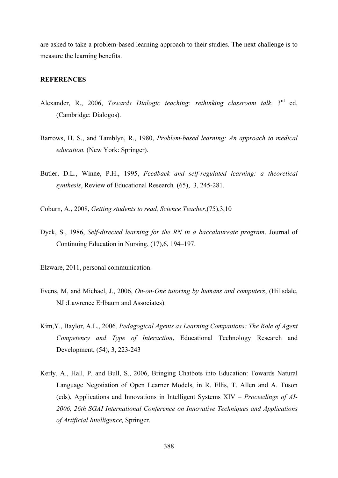are asked to take a problem-based learning approach to their studies. The next challenge is to measure the learning benefits.

### **REFERENCES**

- Alexander, R., 2006, *Towards Dialogic teaching: rethinking classroom talk*. 3rd ed. (Cambridge: Dialogos).
- Barrows, H. S., and Tamblyn, R., 1980, *Problem-based learning: An approach to medical education.* (New York: Springer).
- Butler, D.L., Winne, P.H., 1995, *Feedback and self-regulated learning: a theoretical synthesis*, Review of Educational Research*,* (65), 3, 245-281.
- Coburn, A., 2008, *Getting students to read, Science Teacher*,(75),3,10
- Dyck, S., 1986, *Self-directed learning for the RN in a baccalaureate program*. Journal of Continuing Education in Nursing, (17),6, 194–197.
- Elzware, 2011, personal communication.
- Evens, M, and Michael, J., 2006, *On-on-One tutoring by humans and computers*, (Hillsdale, NJ :Lawrence Erlbaum and Associates).
- Kim,Y., Baylor, A.L., 2006*, Pedagogical Agents as Learning Companions: The Role of Agent Competency and Type of Interaction*, Educational Technology Research and Development, (54), 3, 223-243
- Kerly, A., Hall, P. and Bull, S., 2006, Bringing Chatbots into Education: Towards Natural Language Negotiation of Open Learner Models, in R. Ellis, T. Allen and A. Tuson (eds), Applications and Innovations in Intelligent Systems XIV – *Proceedings of AI-2006, 26th SGAI International Conference on Innovative Techniques and Applications of Artificial Intelligence,* Springer.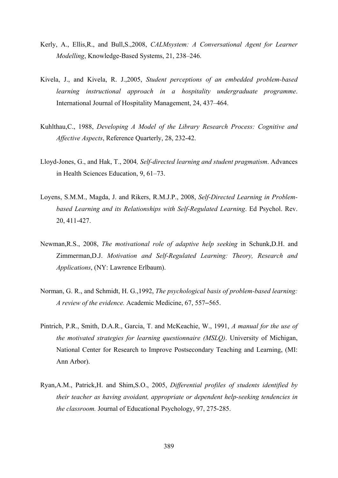- Kerly, A., Ellis,R., and Bull,S.,2008, *CALMsystem: A Conversational Agent for Learner Modelling*, Knowledge-Based Systems, 21, 238–246.
- Kivela, J., and Kivela, R. J.,2005, *Student perceptions of an embedded problem-based learning instructional approach in a hospitality undergraduate programme*. International Journal of Hospitality Management, 24, 437–464.
- Kuhlthau,C., 1988, *Developing A Model of the Library Research Process: Cognitive and Affective Aspects*, Reference Quarterly, 28, 232-42.
- Lloyd-Jones, G., and Hak, T., 2004*, Self-directed learning and student pragmatism*. Advances in Health Sciences Education, 9, 61–73.
- Loyens, S.M.M., Magda, J. and Rikers, R.M.J.P., 2008, *Self-Directed Learning in Problembased Learning and its Relationships with Self-Regulated Learning*. Ed Psychol. Rev. 20, 411-427.
- Newman,R.S., 2008, *The motivational role of adaptive help seeking* in Schunk,D.H. and Zimmerman,D.J. *Motivation and Self-Regulated Learning: Theory, Research and Applications*, (NY: Lawrence Erlbaum).
- Norman, G. R., and Schmidt, H. G.,1992, *The psychological basis of problem-based learning: A review of the evidence.* Academic Medicine, 67, 557–565.
- Pintrich, P.R., Smith, D.A.R., Garcia, T. and McKeachie, W., 1991, *A manual for the use of the motivated strategies for learning questionnaire (MSLQ)*. University of Michigan, National Center for Research to Improve Postsecondary Teaching and Learning, (MI: Ann Arbor).
- Ryan,A.M., Patrick,H. and Shim,S.O., 2005, *Differential profiles of students identified by their teacher as having avoidant, appropriate or dependent help-seeking tendencies in the classroom.* Journal of Educational Psychology, 97, 275-285.